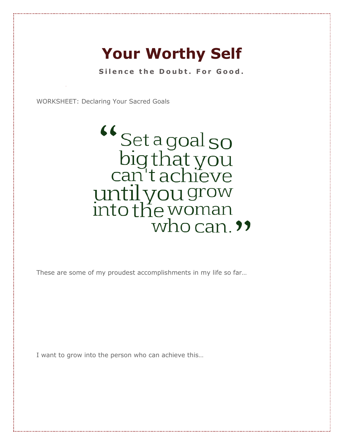## **Your Worthy Self**

Silence the Doubt. For Good.

WORKSHEET: Declaring Your Sacred Goals

<sup>"</sup>Set a goal so big that you until you grow<br>into the woman<br>who can. "

These are some of my proudest accomplishments in my life so far…

I want to grow into the person who can achieve this…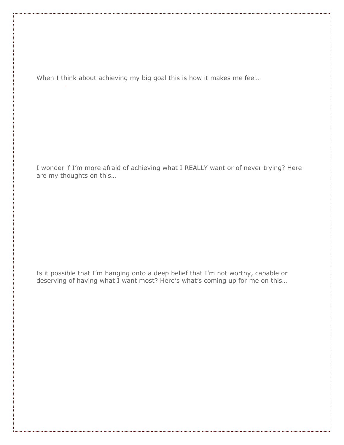When I think about achieving my big goal this is how it makes me feel…

I wonder if I'm more afraid of achieving what I REALLY want or of never trying? Here are my thoughts on this…

Is it possible that I'm hanging onto a deep belief that I'm not worthy, capable or deserving of having what I want most? Here's what's coming up for me on this…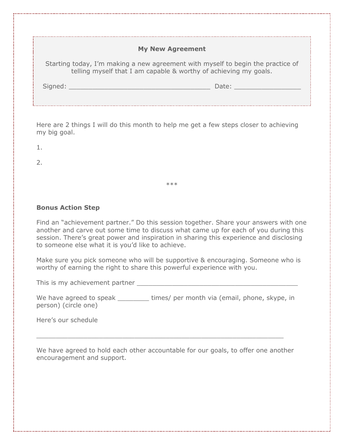| <b>My New Agreement</b>                                                                                                                             |       |
|-----------------------------------------------------------------------------------------------------------------------------------------------------|-------|
| Starting today, I'm making a new agreement with myself to begin the practice of<br>telling myself that I am capable & worthy of achieving my goals. |       |
| Signed:                                                                                                                                             | Date: |
|                                                                                                                                                     |       |

Here are 2 things I will do this month to help me get a few steps closer to achieving my big goal.

1.

2.

**Bonus Action Step**

Find an "achievement partner." Do this session together. Share your answers with one another and carve out some time to discuss what came up for each of you during this session. There's great power and inspiration in sharing this experience and disclosing to someone else what it is you'd like to achieve.

\*\*\*

Make sure you pick someone who will be supportive & encouraging. Someone who is worthy of earning the right to share this powerful experience with you.

This is my achievement partner \_\_\_\_\_\_\_\_\_\_\_\_\_\_\_\_\_\_\_\_\_\_\_\_\_\_\_\_\_\_\_\_\_\_\_\_\_\_\_\_\_

We have agreed to speak \_\_\_\_\_\_\_\_\_\_ times/ per month via (email, phone, skype, in person) (circle one)

Here's our schedule

We have agreed to hold each other accountable for our goals, to offer one another encouragement and support.

 $\_$  , and the set of the set of the set of the set of the set of the set of the set of the set of the set of the set of the set of the set of the set of the set of the set of the set of the set of the set of the set of th